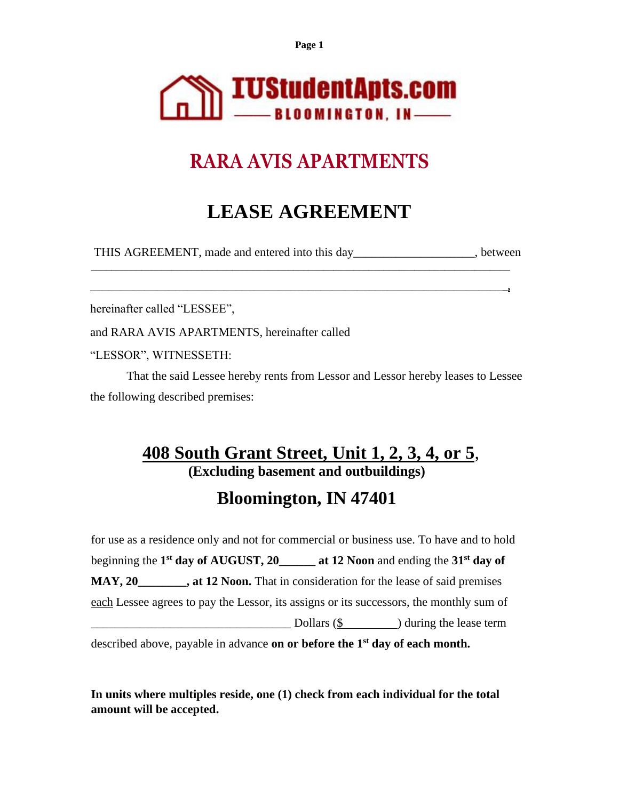**Page 1**



# **RARA AVIS APARTMENTS**

# **LEASE AGREEMENT**

THIS AGREEMENT, made and entered into this day entered into the set of the set of the set of the set of the set of the set of the set of the set of the set of the set of the set of the set of the set of the set of the set

\_\_\_\_\_\_\_\_\_\_\_\_\_\_\_\_\_\_\_\_\_\_\_\_\_\_\_\_\_\_\_\_\_\_\_\_\_\_\_\_\_\_\_\_\_\_\_\_\_\_\_\_\_\_\_\_\_\_\_\_\_\_\_\_\_\_\_\_\_\_\_\_\_\_\_\_\_\_\_\_\_\_\_ \_\_\_\_\_\_\_\_\_\_\_\_\_\_\_\_\_\_\_\_\_\_\_\_\_\_\_\_\_\_\_\_\_\_\_\_\_\_\_\_\_\_\_\_\_\_\_\_\_\_\_\_\_\_\_\_\_\_\_\_\_\_\_\_\_\_\_\_\_**,**

hereinafter called "LESSEE",

and RARA AVIS APARTMENTS, hereinafter called

"LESSOR", WITNESSETH:

That the said Lessee hereby rents from Lessor and Lessor hereby leases to Lessee the following described premises:

## **408 South Grant Street, Unit 1, 2, 3, 4, or 5**, **(Excluding basement and outbuildings)**

# **Bloomington, IN 47401**

for use as a residence only and not for commercial or business use. To have and to hold beginning the **1 st day of AUGUST, 20\_\_\_\_\_\_ at 12 Noon** and ending the **31st day of MAY, 20\_\_\_\_\_\_\_\_, at 12 Noon.** That in consideration for the lease of said premises each Lessee agrees to pay the Lessor, its assigns or its successors, the monthly sum of  $\text{Dollars (S)}$  ) during the lease term

described above, payable in advance **on or before the 1st day of each month.**

**In units where multiples reside, one (1) check from each individual for the total amount will be accepted.**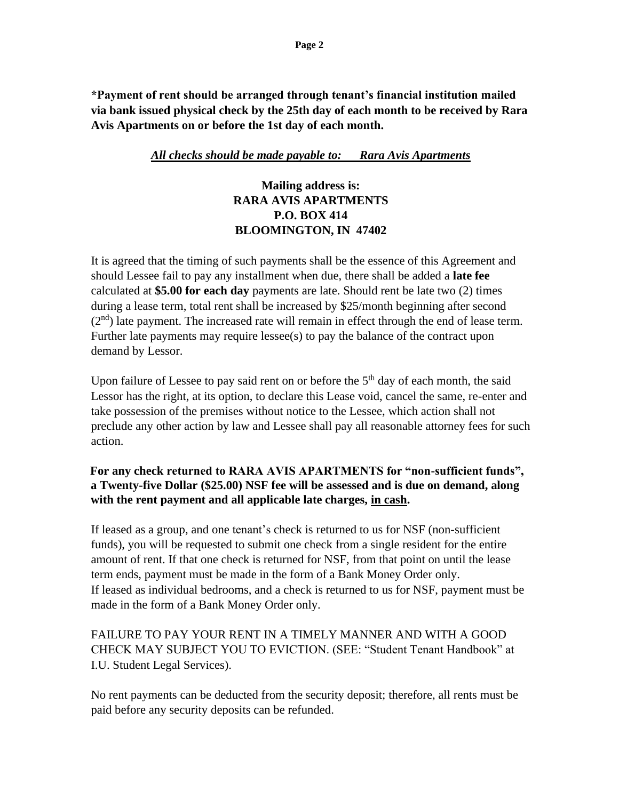**\*Payment of rent should be arranged through tenant's financial institution mailed via bank issued physical check by the 25th day of each month to be received by Rara Avis Apartments on or before the 1st day of each month.**

#### *All checks should be made payable to: Rara Avis Apartments*

## **Mailing address is: RARA AVIS APARTMENTS P.O. BOX 414 BLOOMINGTON, IN 47402**

It is agreed that the timing of such payments shall be the essence of this Agreement and should Lessee fail to pay any installment when due, there shall be added a **late fee** calculated at **\$5.00 for each day** payments are late. Should rent be late two (2) times during a lease term, total rent shall be increased by \$25/month beginning after second  $(2<sup>nd</sup>)$  late payment. The increased rate will remain in effect through the end of lease term. Further late payments may require lessee(s) to pay the balance of the contract upon demand by Lessor.

Upon failure of Lessee to pay said rent on or before the  $5<sup>th</sup>$  day of each month, the said Lessor has the right, at its option, to declare this Lease void, cancel the same, re-enter and take possession of the premises without notice to the Lessee, which action shall not preclude any other action by law and Lessee shall pay all reasonable attorney fees for such action.

#### **For any check returned to RARA AVIS APARTMENTS for "non-sufficient funds", a Twenty-five Dollar (\$25.00) NSF fee will be assessed and is due on demand, along with the rent payment and all applicable late charges, in cash.**

If leased as a group, and one tenant's check is returned to us for NSF (non-sufficient funds), you will be requested to submit one check from a single resident for the entire amount of rent. If that one check is returned for NSF, from that point on until the lease term ends, payment must be made in the form of a Bank Money Order only. If leased as individual bedrooms, and a check is returned to us for NSF, payment must be made in the form of a Bank Money Order only.

FAILURE TO PAY YOUR RENT IN A TIMELY MANNER AND WITH A GOOD CHECK MAY SUBJECT YOU TO EVICTION. (SEE: "Student Tenant Handbook" at I.U. Student Legal Services).

No rent payments can be deducted from the security deposit; therefore, all rents must be paid before any security deposits can be refunded.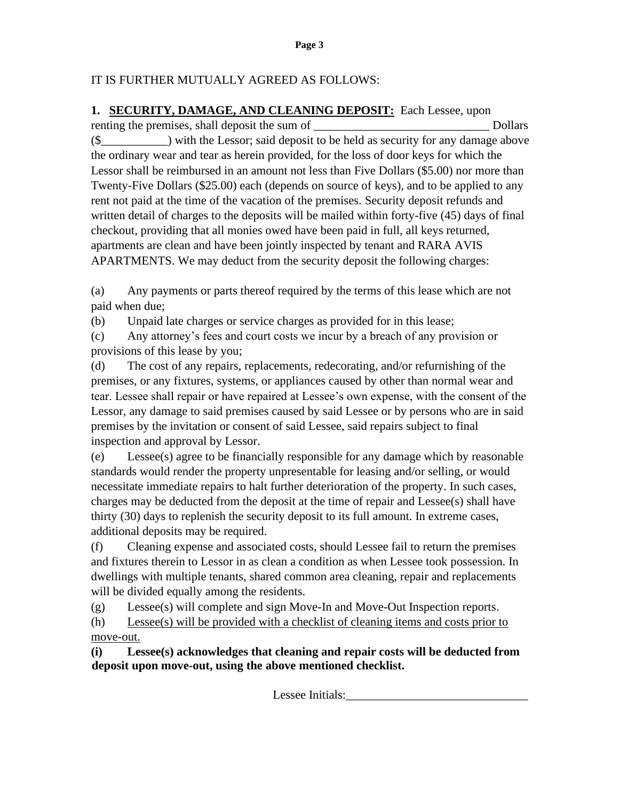### IT IS FURTHER MUTUALLY AGREED AS FOLLOWS:

**1. SECURITY, DAMAGE, AND CLEANING DEPOSIT:** Each Lessee, upon renting the premises, shall deposit the sum of \_\_\_\_\_\_\_\_\_\_\_\_\_\_\_\_\_\_\_\_\_\_\_\_\_\_\_\_\_ Dollars (\$\_\_\_\_\_\_\_\_\_\_\_) with the Lessor; said deposit to be held as security for any damage above the ordinary wear and tear as herein provided, for the loss of door keys for which the Lessor shall be reimbursed in an amount not less than Five Dollars (\$5.00) nor more than Twenty-Five Dollars (\$25.00) each (depends on source of keys), and to be applied to any rent not paid at the time of the vacation of the premises. Security deposit refunds and written detail of charges to the deposits will be mailed within forty-five (45) days of final checkout, providing that all monies owed have been paid in full, all keys returned, apartments are clean and have been jointly inspected by tenant and RARA AVIS APARTMENTS. We may deduct from the security deposit the following charges:

(a) Any payments or parts thereof required by the terms of this lease which are not paid when due;

(b) Unpaid late charges or service charges as provided for in this lease;

(c) Any attorney's fees and court costs we incur by a breach of any provision or provisions of this lease by you;

(d) The cost of any repairs, replacements, redecorating, and/or refurnishing of the premises, or any fixtures, systems, or appliances caused by other than normal wear and tear. Lessee shall repair or have repaired at Lessee's own expense, with the consent of the Lessor, any damage to said premises caused by said Lessee or by persons who are in said premises by the invitation or consent of said Lessee, said repairs subject to final inspection and approval by Lessor.

(e) Lessee(s) agree to be financially responsible for any damage which by reasonable standards would render the property unpresentable for leasing and/or selling, or would necessitate immediate repairs to halt further deterioration of the property. In such cases, charges may be deducted from the deposit at the time of repair and Lessee(s) shall have thirty (30) days to replenish the security deposit to its full amount. In extreme cases, additional deposits may be required.

(f) Cleaning expense and associated costs, should Lessee fail to return the premises and fixtures therein to Lessor in as clean a condition as when Lessee took possession. In dwellings with multiple tenants, shared common area cleaning, repair and replacements will be divided equally among the residents.

(g) Lessee(s) will complete and sign Move-In and Move-Out Inspection reports.

(h) Lessee(s) will be provided with a checklist of cleaning items and costs prior to move-out.

**(i) Lessee(s) acknowledges that cleaning and repair costs will be deducted from deposit upon move-out, using the above mentioned checklist.**

Lessee Initials: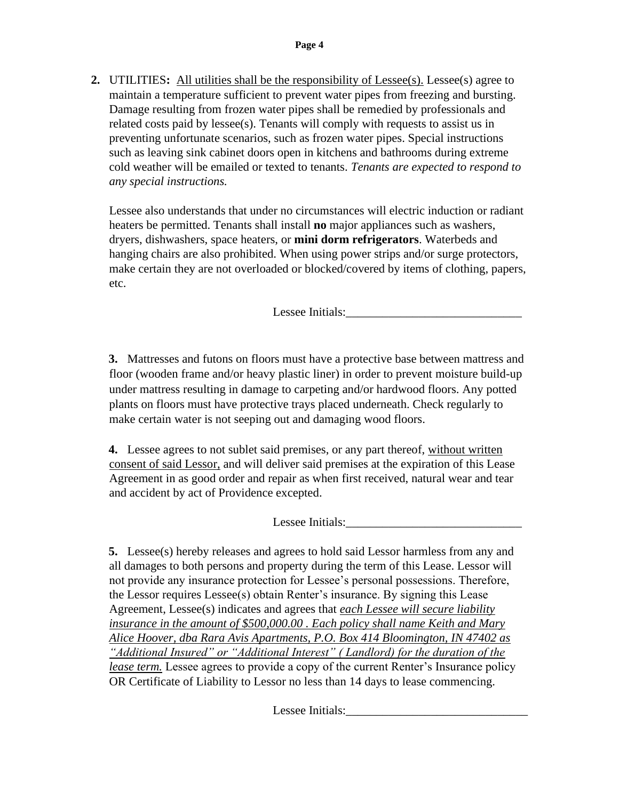**2.** UTILITIES**:** All utilities shall be the responsibility of Lessee(s). Lessee(s) agree to maintain a temperature sufficient to prevent water pipes from freezing and bursting. Damage resulting from frozen water pipes shall be remedied by professionals and related costs paid by lessee(s). Tenants will comply with requests to assist us in preventing unfortunate scenarios, such as frozen water pipes. Special instructions such as leaving sink cabinet doors open in kitchens and bathrooms during extreme cold weather will be emailed or texted to tenants. *Tenants are expected to respond to any special instructions.*

Lessee also understands that under no circumstances will electric induction or radiant heaters be permitted. Tenants shall install **no** major appliances such as washers, dryers, dishwashers, space heaters, or **mini dorm refrigerators**. Waterbeds and hanging chairs are also prohibited. When using power strips and/or surge protectors, make certain they are not overloaded or blocked/covered by items of clothing, papers, etc.

Lessee Initials:

**3.** Mattresses and futons on floors must have a protective base between mattress and floor (wooden frame and/or heavy plastic liner) in order to prevent moisture build-up under mattress resulting in damage to carpeting and/or hardwood floors. Any potted plants on floors must have protective trays placed underneath. Check regularly to make certain water is not seeping out and damaging wood floors.

**4.** Lessee agrees to not sublet said premises, or any part thereof, without written consent of said Lessor, and will deliver said premises at the expiration of this Lease Agreement in as good order and repair as when first received, natural wear and tear and accident by act of Providence excepted.

Lessee Initials:

**5.** Lessee(s) hereby releases and agrees to hold said Lessor harmless from any and all damages to both persons and property during the term of this Lease. Lessor will not provide any insurance protection for Lessee's personal possessions. Therefore, the Lessor requires Lessee(s) obtain Renter's insurance. By signing this Lease Agreement, Lessee(s) indicates and agrees that *each Lessee will secure liability insurance in the amount of \$500,000.00 . Each policy shall name Keith and Mary Alice Hoover, dba Rara Avis Apartments, P.O. Box 414 Bloomington, IN 47402 as "Additional Insured" or "Additional Interest" ( Landlord) for the duration of the lease term.* Lessee agrees to provide a copy of the current Renter's Insurance policy OR Certificate of Liability to Lessor no less than 14 days to lease commencing.

Lessee Initials: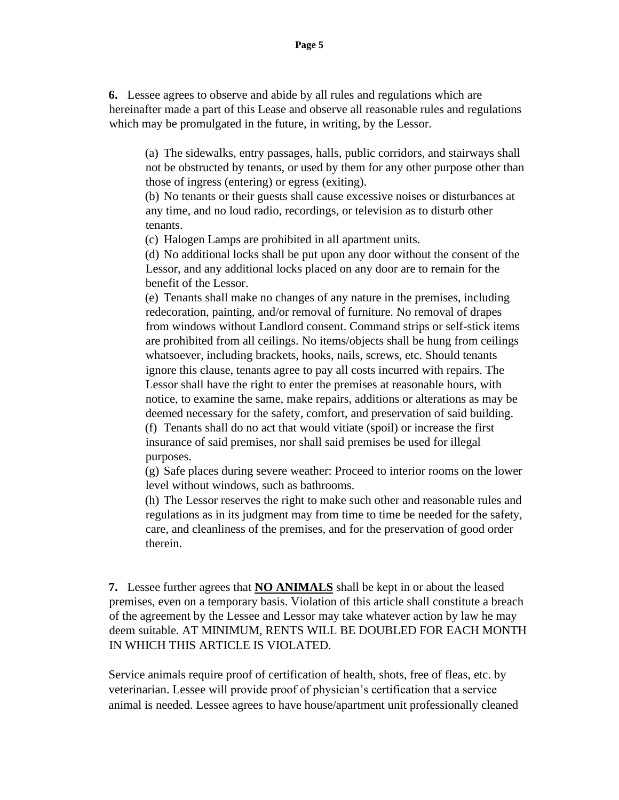**6.** Lessee agrees to observe and abide by all rules and regulations which are hereinafter made a part of this Lease and observe all reasonable rules and regulations which may be promulgated in the future, in writing, by the Lessor.

(a) The sidewalks, entry passages, halls, public corridors, and stairways shall not be obstructed by tenants, or used by them for any other purpose other than those of ingress (entering) or egress (exiting).

(b) No tenants or their guests shall cause excessive noises or disturbances at any time, and no loud radio, recordings, or television as to disturb other tenants.

(c) Halogen Lamps are prohibited in all apartment units.

(d) No additional locks shall be put upon any door without the consent of the Lessor, and any additional locks placed on any door are to remain for the benefit of the Lessor.

(e) Tenants shall make no changes of any nature in the premises, including redecoration, painting, and/or removal of furniture. No removal of drapes from windows without Landlord consent. Command strips or self-stick items are prohibited from all ceilings. No items/objects shall be hung from ceilings whatsoever, including brackets, hooks, nails, screws, etc. Should tenants ignore this clause, tenants agree to pay all costs incurred with repairs. The Lessor shall have the right to enter the premises at reasonable hours, with notice, to examine the same, make repairs, additions or alterations as may be deemed necessary for the safety, comfort, and preservation of said building. (f) Tenants shall do no act that would vitiate (spoil) or increase the first insurance of said premises, nor shall said premises be used for illegal purposes.

(g) Safe places during severe weather: Proceed to interior rooms on the lower level without windows, such as bathrooms.

(h) The Lessor reserves the right to make such other and reasonable rules and regulations as in its judgment may from time to time be needed for the safety, care, and cleanliness of the premises, and for the preservation of good order therein.

**7.** Lessee further agrees that **NO ANIMALS** shall be kept in or about the leased premises, even on a temporary basis. Violation of this article shall constitute a breach of the agreement by the Lessee and Lessor may take whatever action by law he may deem suitable. AT MINIMUM, RENTS WILL BE DOUBLED FOR EACH MONTH IN WHICH THIS ARTICLE IS VIOLATED.

Service animals require proof of certification of health, shots, free of fleas, etc. by veterinarian. Lessee will provide proof of physician's certification that a service animal is needed. Lessee agrees to have house/apartment unit professionally cleaned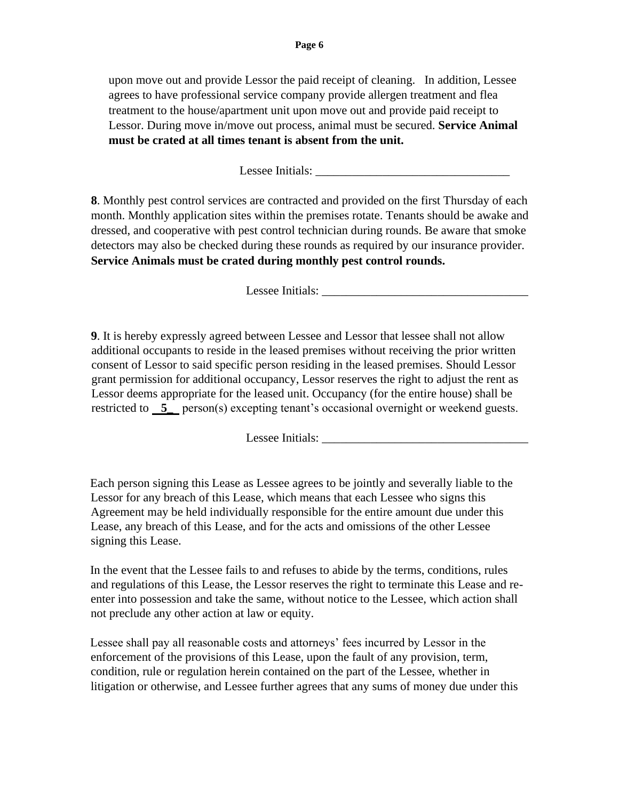upon move out and provide Lessor the paid receipt of cleaning. In addition, Lessee agrees to have professional service company provide allergen treatment and flea treatment to the house/apartment unit upon move out and provide paid receipt to Lessor. During move in/move out process, animal must be secured. **Service Animal must be crated at all times tenant is absent from the unit.** 

Lessee Initials:

**8**. Monthly pest control services are contracted and provided on the first Thursday of each month. Monthly application sites within the premises rotate. Tenants should be awake and dressed, and cooperative with pest control technician during rounds. Be aware that smoke detectors may also be checked during these rounds as required by our insurance provider. **Service Animals must be crated during monthly pest control rounds.**

Lessee Initials:

**9**. It is hereby expressly agreed between Lessee and Lessor that lessee shall not allow additional occupants to reside in the leased premises without receiving the prior written consent of Lessor to said specific person residing in the leased premises. Should Lessor grant permission for additional occupancy, Lessor reserves the right to adjust the rent as Lessor deems appropriate for the leased unit. Occupancy (for the entire house) shall be restricted to **5\_** person(s) excepting tenant's occasional overnight or weekend guests.

Lessee Initials: \_\_\_\_\_\_\_\_\_\_\_\_\_\_\_\_\_\_\_\_\_\_\_\_\_\_\_\_\_\_\_\_\_\_

Each person signing this Lease as Lessee agrees to be jointly and severally liable to the Lessor for any breach of this Lease, which means that each Lessee who signs this Agreement may be held individually responsible for the entire amount due under this Lease, any breach of this Lease, and for the acts and omissions of the other Lessee signing this Lease.

In the event that the Lessee fails to and refuses to abide by the terms, conditions, rules and regulations of this Lease, the Lessor reserves the right to terminate this Lease and reenter into possession and take the same, without notice to the Lessee, which action shall not preclude any other action at law or equity.

Lessee shall pay all reasonable costs and attorneys' fees incurred by Lessor in the enforcement of the provisions of this Lease, upon the fault of any provision, term, condition, rule or regulation herein contained on the part of the Lessee, whether in litigation or otherwise, and Lessee further agrees that any sums of money due under this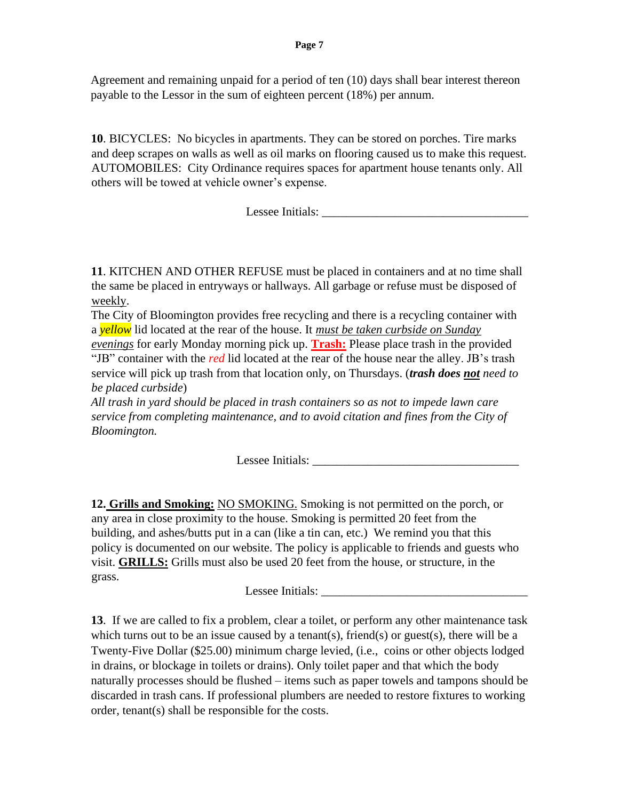Agreement and remaining unpaid for a period of ten (10) days shall bear interest thereon payable to the Lessor in the sum of eighteen percent (18%) per annum.

**10**. BICYCLES: No bicycles in apartments. They can be stored on porches. Tire marks and deep scrapes on walls as well as oil marks on flooring caused us to make this request. AUTOMOBILES: City Ordinance requires spaces for apartment house tenants only. All others will be towed at vehicle owner's expense.

Lessee Initials: \_\_\_\_\_\_\_\_\_\_\_\_\_\_\_\_\_\_\_\_\_\_\_\_\_\_\_\_\_\_\_\_\_\_

**11**. KITCHEN AND OTHER REFUSE must be placed in containers and at no time shall the same be placed in entryways or hallways. All garbage or refuse must be disposed of weekly.

The City of Bloomington provides free recycling and there is a recycling container with a *yellow* lid located at the rear of the house. It *must be taken curbside on Sunday evenings* for early Monday morning pick up. **Trash:** Please place trash in the provided "JB" container with the *red* lid located at the rear of the house near the alley. JB's trash service will pick up trash from that location only, on Thursdays. (*trash does not need to be placed curbside*)

*All trash in yard should be placed in trash containers so as not to impede lawn care service from completing maintenance, and to avoid citation and fines from the City of Bloomington.* 

Lessee Initials:

**12. Grills and Smoking:** NO SMOKING. Smoking is not permitted on the porch, or any area in close proximity to the house. Smoking is permitted 20 feet from the building, and ashes/butts put in a can (like a tin can, etc.) We remind you that this policy is documented on our website. The policy is applicable to friends and guests who visit. **GRILLS:** Grills must also be used 20 feet from the house, or structure, in the grass.

Lessee Initials: \_\_\_\_\_\_\_\_\_\_\_\_\_\_\_\_\_\_\_\_\_\_\_\_\_\_\_\_\_\_\_\_\_\_

**13**. If we are called to fix a problem, clear a toilet, or perform any other maintenance task which turns out to be an issue caused by a tenant(s), friend(s) or guest(s), there will be a Twenty-Five Dollar (\$25.00) minimum charge levied, (i.e., coins or other objects lodged in drains, or blockage in toilets or drains). Only toilet paper and that which the body naturally processes should be flushed – items such as paper towels and tampons should be discarded in trash cans. If professional plumbers are needed to restore fixtures to working order, tenant(s) shall be responsible for the costs.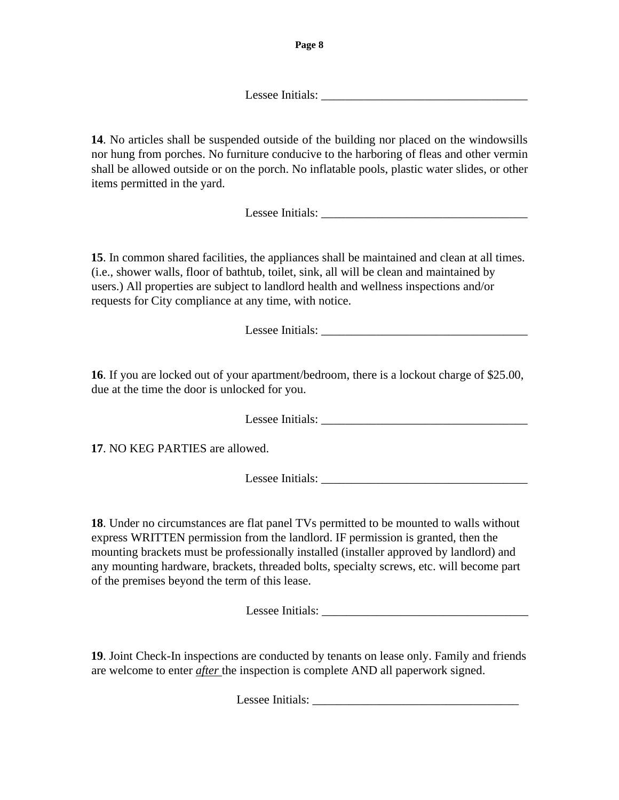Lessee Initials:

**14**. No articles shall be suspended outside of the building nor placed on the windowsills nor hung from porches. No furniture conducive to the harboring of fleas and other vermin shall be allowed outside or on the porch. No inflatable pools, plastic water slides, or other items permitted in the yard.

Lessee Initials:

**15**. In common shared facilities, the appliances shall be maintained and clean at all times. (i.e., shower walls, floor of bathtub, toilet, sink, all will be clean and maintained by users.) All properties are subject to landlord health and wellness inspections and/or requests for City compliance at any time, with notice.

Lessee Initials:

**16**. If you are locked out of your apartment/bedroom, there is a lockout charge of \$25.00, due at the time the door is unlocked for you.

Lessee Initials:

**17**. NO KEG PARTIES are allowed.

Lessee Initials: \_\_\_\_\_\_\_\_\_\_\_\_\_\_\_\_\_\_\_\_\_\_\_\_\_\_\_\_\_\_\_\_\_\_

**18**. Under no circumstances are flat panel TVs permitted to be mounted to walls without express WRITTEN permission from the landlord. IF permission is granted, then the mounting brackets must be professionally installed (installer approved by landlord) and any mounting hardware, brackets, threaded bolts, specialty screws, etc. will become part of the premises beyond the term of this lease.

Lessee Initials:

**19**. Joint Check-In inspections are conducted by tenants on lease only. Family and friends are welcome to enter *after* the inspection is complete AND all paperwork signed.

Lessee Initials: \_\_\_\_\_\_\_\_\_\_\_\_\_\_\_\_\_\_\_\_\_\_\_\_\_\_\_\_\_\_\_\_\_\_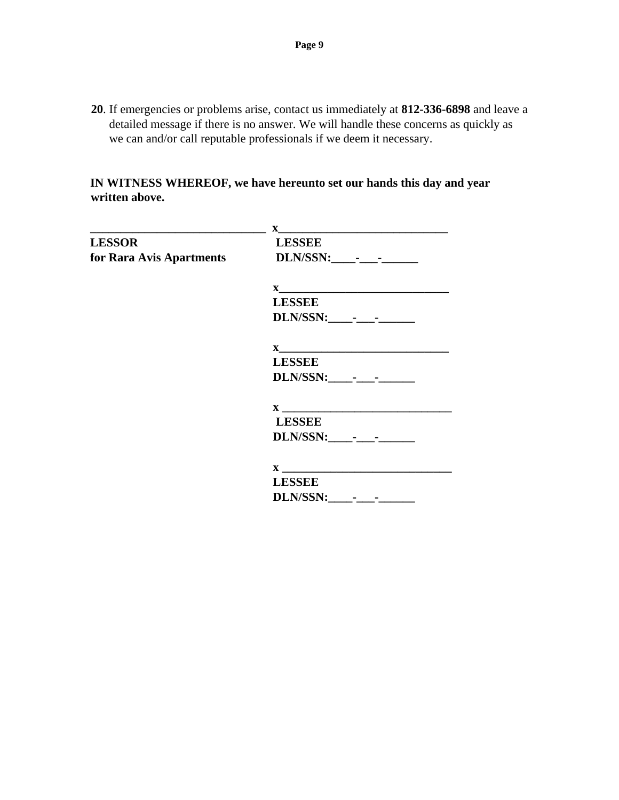**20**. If emergencies or problems arise, contact us immediately at **812-336-6898** and leave a detailed message if there is no answer. We will handle these concerns as quickly as we can and/or call reputable professionals if we deem it necessary.

**IN WITNESS WHEREOF, we have hereunto set our hands this day and year written above.** 

|                          | $\mathbf{X}$                                                               |
|--------------------------|----------------------------------------------------------------------------|
| <b>LESSOR</b>            | <b>LESSEE</b>                                                              |
| for Rara Avis Apartments |                                                                            |
|                          |                                                                            |
|                          | <b>LESSEE</b>                                                              |
|                          |                                                                            |
|                          | $\mathbf{X}$                                                               |
|                          | <b>LESSEE</b>                                                              |
|                          |                                                                            |
|                          | $\mathbf{X}$ and $\mathbf{X}$ and $\mathbf{X}$ are the set of $\mathbf{X}$ |
|                          | <b>LESSEE</b>                                                              |
|                          | DLN/SSN: - -                                                               |
|                          | $\mathbf X$                                                                |
|                          | <b>LESSEE</b>                                                              |
|                          |                                                                            |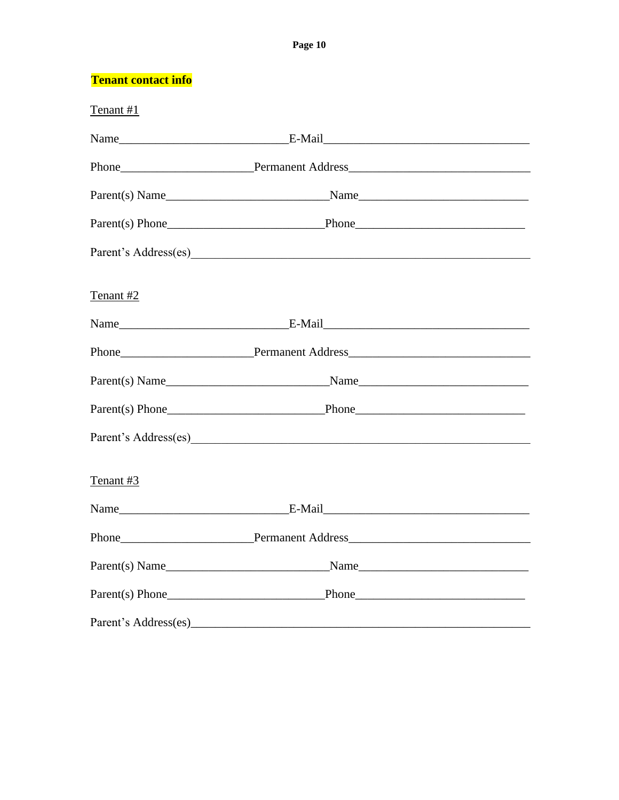#### Page 10

**Tenant contact info** 

| Tenant #1      |                         |      |
|----------------|-------------------------|------|
|                |                         |      |
|                |                         |      |
|                |                         |      |
|                |                         |      |
|                |                         |      |
| Tenant #2      |                         |      |
|                |                         |      |
|                |                         |      |
|                |                         |      |
|                |                         |      |
|                |                         |      |
| Tenant #3      |                         |      |
|                |                         |      |
|                | Phone Permanent Address |      |
| Parent(s) Name |                         | Name |
|                |                         |      |
|                |                         |      |